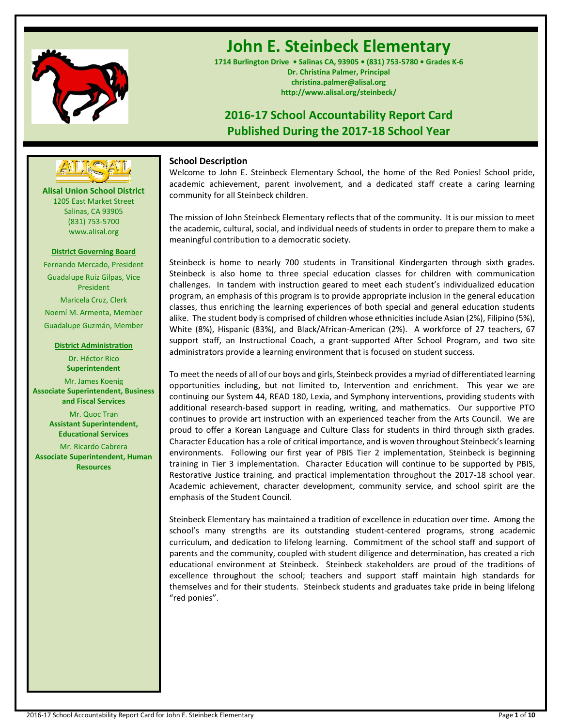

# **John E. Steinbeck Elementary**

**1714 Burlington Drive • Salinas CA, 93905 • (831) 753-5780 • Grades K-6 Dr. Christina Palmer, Principal christina.palmer@alisal.org http://www.alisal.org/steinbeck/**

## **2016-17 School Accountability Report Card Published During the 2017-18 School Year**



**Alisal Union School District** 1205 East Market Street Salinas, CA 93905 (831) 753-5700 www.alisal.org

## **District Governing Board**

Fernando Mercado, President Guadalupe Ruiz Gilpas, Vice President Maricela Cruz, Clerk Noemí M. Armenta, Member Guadalupe Guzmán, Member

#### **District Administration**

Dr. Héctor Rico **Superintendent** Mr. James Koenig **Associate Superintendent, Business and Fiscal Services** Mr. Quoc Tran **Assistant Superintendent, Educational Services**

Mr. Ricardo Cabrera **Associate Superintendent, Human Resources**

## **School Description**

Welcome to John E. Steinbeck Elementary School, the home of the Red Ponies! School pride, academic achievement, parent involvement, and a dedicated staff create a caring learning community for all Steinbeck children.

The mission of John Steinbeck Elementary reflects that of the community. It is our mission to meet the academic, cultural, social, and individual needs of students in order to prepare them to make a meaningful contribution to a democratic society.

Steinbeck is home to nearly 700 students in Transitional Kindergarten through sixth grades. Steinbeck is also home to three special education classes for children with communication challenges. In tandem with instruction geared to meet each student's individualized education program, an emphasis of this program is to provide appropriate inclusion in the general education classes, thus enriching the learning experiences of both special and general education students alike. The student body is comprised of children whose ethnicities include Asian (2%), Filipino (5%), White (8%), Hispanic (83%), and Black/African-American (2%). A workforce of 27 teachers, 67 support staff, an Instructional Coach, a grant-supported After School Program, and two site administrators provide a learning environment that is focused on student success.

To meet the needs of all of our boys and girls, Steinbeck provides a myriad of differentiated learning opportunities including, but not limited to, Intervention and enrichment. This year we are continuing our System 44, READ 180, Lexia, and Symphony interventions, providing students with additional research-based support in reading, writing, and mathematics. Our supportive PTO continues to provide art instruction with an experienced teacher from the Arts Council. We are proud to offer a Korean Language and Culture Class for students in third through sixth grades. Character Education has a role of critical importance, and is woven throughout Steinbeck's learning environments. Following our first year of PBIS Tier 2 implementation, Steinbeck is beginning training in Tier 3 implementation. Character Education will continue to be supported by PBIS, Restorative Justice training, and practical implementation throughout the 2017-18 school year. Academic achievement, character development, community service, and school spirit are the emphasis of the Student Council.

Steinbeck Elementary has maintained a tradition of excellence in education over time. Among the school's many strengths are its outstanding student-centered programs, strong academic curriculum, and dedication to lifelong learning. Commitment of the school staff and support of parents and the community, coupled with student diligence and determination, has created a rich educational environment at Steinbeck. Steinbeck stakeholders are proud of the traditions of excellence throughout the school; teachers and support staff maintain high standards for themselves and for their students. Steinbeck students and graduates take pride in being lifelong "red ponies".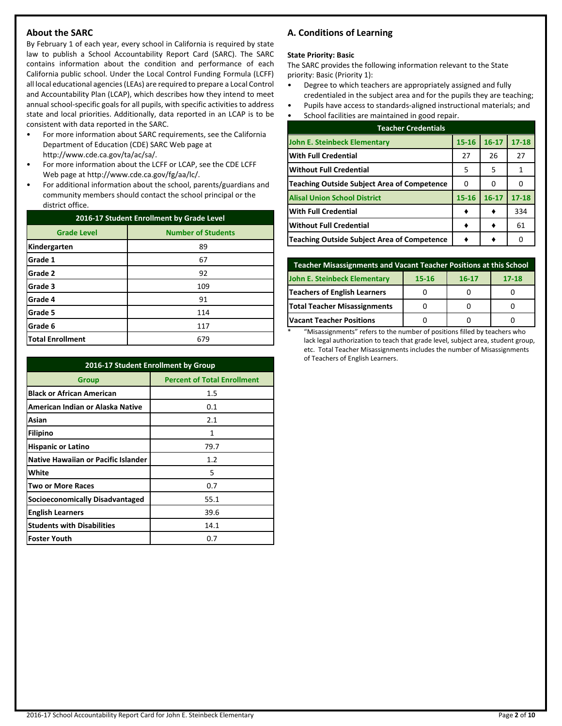## **About the SARC**

By February 1 of each year, every school in California is required by state law to publish a School Accountability Report Card (SARC). The SARC contains information about the condition and performance of each California public school. Under the Local Control Funding Formula (LCFF) all local educational agencies (LEAs) are required to prepare a Local Control and Accountability Plan (LCAP), which describes how they intend to meet annual school-specific goals for all pupils, with specific activities to address state and local priorities. Additionally, data reported in an LCAP is to be consistent with data reported in the SARC.

- For more information about SARC requirements, see the California Department of Education (CDE) SARC Web page at http://www.cde.ca.gov/ta/ac/sa/.
- For more information about the LCFF or LCAP, see the CDE LCFF Web page at http://www.cde.ca.gov/fg/aa/lc/.
- For additional information about the school, parents/guardians and community members should contact the school principal or the district office.

| 2016-17 Student Enrollment by Grade Level |                           |  |  |
|-------------------------------------------|---------------------------|--|--|
| <b>Grade Level</b>                        | <b>Number of Students</b> |  |  |
| Kindergarten                              | 89                        |  |  |
| Grade 1                                   | 67                        |  |  |
| Grade 2                                   | 92                        |  |  |
| Grade 3                                   | 109                       |  |  |
| Grade 4                                   | 91                        |  |  |
| Grade 5                                   | 114                       |  |  |
| Grade 6                                   | 117                       |  |  |
| <b>Total Enrollment</b>                   | 679                       |  |  |

| 2016-17 Student Enrollment by Group        |                                    |  |  |  |
|--------------------------------------------|------------------------------------|--|--|--|
| Group                                      | <b>Percent of Total Enrollment</b> |  |  |  |
| <b>Black or African American</b>           | 1.5                                |  |  |  |
| American Indian or Alaska Native           | 0.1                                |  |  |  |
| Asian                                      | 2.1                                |  |  |  |
| Filipino                                   | 1                                  |  |  |  |
| <b>Hispanic or Latino</b>                  | 79.7                               |  |  |  |
| <b>Native Hawaiian or Pacific Islander</b> | 1.2                                |  |  |  |
| White                                      | 5                                  |  |  |  |
| <b>Two or More Races</b>                   | 0.7                                |  |  |  |
| Socioeconomically Disadvantaged            | 55.1                               |  |  |  |
| <b>English Learners</b>                    | 39.6                               |  |  |  |
| <b>Students with Disabilities</b>          | 14.1                               |  |  |  |
| <b>Foster Youth</b>                        | 0.7                                |  |  |  |

## **A. Conditions of Learning**

#### **State Priority: Basic**

The SARC provides the following information relevant to the State priority: Basic (Priority 1):

- Degree to which teachers are appropriately assigned and fully credentialed in the subject area and for the pupils they are teaching;
- Pupils have access to standards-aligned instructional materials; and
- School facilities are maintained in good repair.

| <b>Teacher Credentials</b>                         |           |           |           |  |  |  |
|----------------------------------------------------|-----------|-----------|-----------|--|--|--|
| John E. Steinbeck Elementary                       | $15 - 16$ | $16 - 17$ | $17 - 18$ |  |  |  |
| <b>With Full Credential</b>                        | 27        | 26        | 27        |  |  |  |
| <b>Without Full Credential</b>                     | 5         | 5         | 1         |  |  |  |
| <b>Teaching Outside Subject Area of Competence</b> | 0         | O         |           |  |  |  |
| <b>Alisal Union School District</b>                | 15-16     | $16 - 17$ | $17 - 18$ |  |  |  |
| <b>With Full Credential</b>                        |           |           | 334       |  |  |  |
| <b>Without Full Credential</b>                     |           |           | 61        |  |  |  |
| <b>Teaching Outside Subject Area of Competence</b> |           |           |           |  |  |  |

| <b>Teacher Misassignments and Vacant Teacher Positions at this School</b> |  |  |  |  |  |  |  |
|---------------------------------------------------------------------------|--|--|--|--|--|--|--|
| John E. Steinbeck Elementary<br>$17 - 18$<br>15-16<br>$16 - 17$           |  |  |  |  |  |  |  |
| Teachers of English Learners                                              |  |  |  |  |  |  |  |
| Total Teacher Misassignments                                              |  |  |  |  |  |  |  |
| Vacant Teacher Positions                                                  |  |  |  |  |  |  |  |

\* "Misassignments" refers to the number of positions filled by teachers who lack legal authorization to teach that grade level, subject area, student group, etc. Total Teacher Misassignments includes the number of Misassignments of Teachers of English Learners.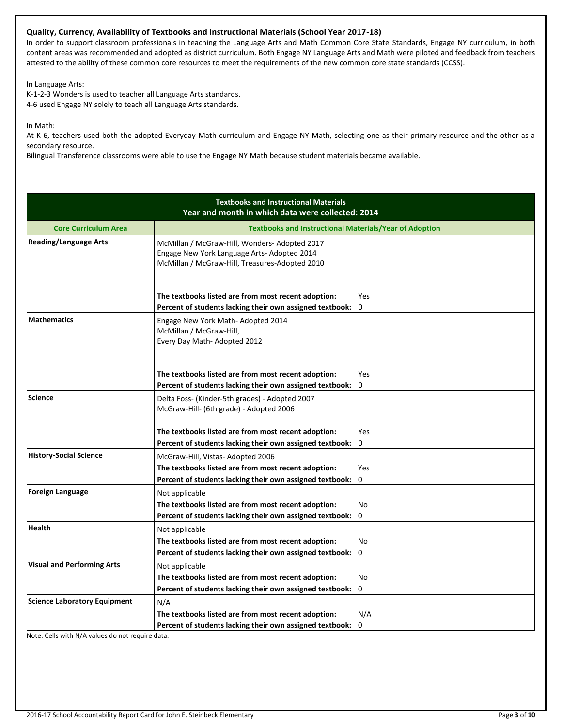## **Quality, Currency, Availability of Textbooks and Instructional Materials (School Year 2017-18)**

In order to support classroom professionals in teaching the Language Arts and Math Common Core State Standards, Engage NY curriculum, in both content areas was recommended and adopted as district curriculum. Both Engage NY Language Arts and Math were piloted and feedback from teachers attested to the ability of these common core resources to meet the requirements of the new common core state standards (CCSS).

In Language Arts:

K-1-2-3 Wonders is used to teacher all Language Arts standards. 4-6 used Engage NY solely to teach all Language Arts standards.

In Math:

At K-6, teachers used both the adopted Everyday Math curriculum and Engage NY Math, selecting one as their primary resource and the other as a secondary resource.

Bilingual Transference classrooms were able to use the Engage NY Math because student materials became available.

|                                     | <b>Textbooks and Instructional Materials</b><br>Year and month in which data were collected: 2014                                             |          |
|-------------------------------------|-----------------------------------------------------------------------------------------------------------------------------------------------|----------|
| <b>Core Curriculum Area</b>         | <b>Textbooks and Instructional Materials/Year of Adoption</b>                                                                                 |          |
| <b>Reading/Language Arts</b>        | McMillan / McGraw-Hill, Wonders-Adopted 2017<br>Engage New York Language Arts- Adopted 2014<br>McMillan / McGraw-Hill, Treasures-Adopted 2010 |          |
|                                     | The textbooks listed are from most recent adoption:<br>Percent of students lacking their own assigned textbook:                               | Yes<br>0 |
| <b>Mathematics</b>                  | Engage New York Math- Adopted 2014<br>McMillan / McGraw-Hill,<br>Every Day Math-Adopted 2012                                                  |          |
|                                     | The textbooks listed are from most recent adoption:                                                                                           | Yes      |
|                                     | Percent of students lacking their own assigned textbook:                                                                                      | 0        |
| <b>Science</b>                      | Delta Foss- (Kinder-5th grades) - Adopted 2007<br>McGraw-Hill- (6th grade) - Adopted 2006                                                     |          |
|                                     | The textbooks listed are from most recent adoption:                                                                                           | Yes      |
|                                     | Percent of students lacking their own assigned textbook:                                                                                      | 0        |
| <b>History-Social Science</b>       | McGraw-Hill, Vistas-Adopted 2006                                                                                                              |          |
|                                     | The textbooks listed are from most recent adoption:                                                                                           | Yes      |
|                                     | Percent of students lacking their own assigned textbook:                                                                                      | 0        |
| <b>Foreign Language</b>             | Not applicable                                                                                                                                |          |
|                                     | The textbooks listed are from most recent adoption:                                                                                           | No       |
|                                     | Percent of students lacking their own assigned textbook:                                                                                      | 0        |
| <b>Health</b>                       | Not applicable                                                                                                                                |          |
|                                     | The textbooks listed are from most recent adoption:                                                                                           | No       |
|                                     | Percent of students lacking their own assigned textbook:                                                                                      | 0        |
| <b>Visual and Performing Arts</b>   | Not applicable                                                                                                                                |          |
|                                     | The textbooks listed are from most recent adoption:                                                                                           | No       |
|                                     | Percent of students lacking their own assigned textbook:                                                                                      | 0        |
| <b>Science Laboratory Equipment</b> | N/A                                                                                                                                           |          |
|                                     | The textbooks listed are from most recent adoption:                                                                                           | N/A      |
|                                     | Percent of students lacking their own assigned textbook:                                                                                      | 0        |

Note: Cells with N/A values do not require data.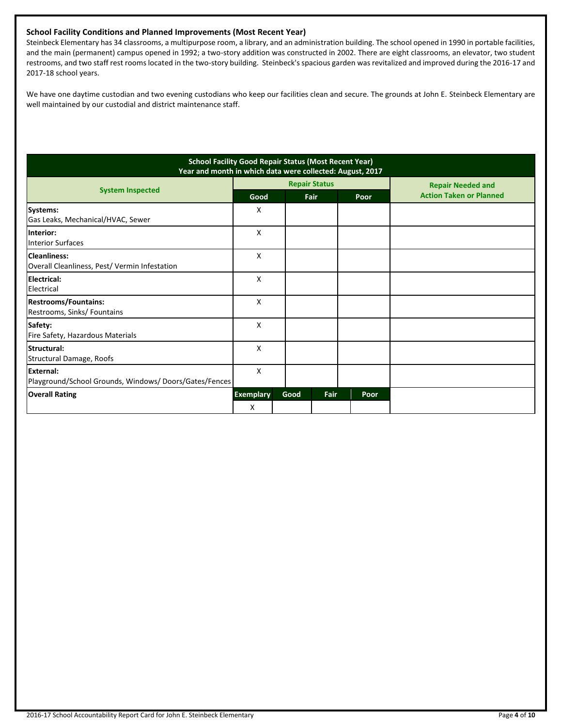## **School Facility Conditions and Planned Improvements (Most Recent Year)**

Steinbeck Elementary has 34 classrooms, a multipurpose room, a library, and an administration building. The school opened in 1990 in portable facilities, and the main (permanent) campus opened in 1992; a two-story addition was constructed in 2002. There are eight classrooms, an elevator, two student restrooms, and two staff rest rooms located in the two-story building. Steinbeck's spacious garden was revitalized and improved during the 2016-17 and 2017-18 school years.

We have one daytime custodian and two evening custodians who keep our facilities clean and secure. The grounds at John E. Steinbeck Elementary are well maintained by our custodial and district maintenance staff.

| <b>School Facility Good Repair Status (Most Recent Year)</b><br>Year and month in which data were collected: August, 2017 |                       |      |                      |      |                                |
|---------------------------------------------------------------------------------------------------------------------------|-----------------------|------|----------------------|------|--------------------------------|
|                                                                                                                           |                       |      | <b>Repair Status</b> |      | <b>Repair Needed and</b>       |
| <b>System Inspected</b>                                                                                                   | Good                  |      | Fair                 | Poor | <b>Action Taken or Planned</b> |
| Systems:<br>Gas Leaks, Mechanical/HVAC, Sewer                                                                             | X                     |      |                      |      |                                |
| Interior:<br><b>Interior Surfaces</b>                                                                                     | X                     |      |                      |      |                                |
| <b>Cleanliness:</b><br>Overall Cleanliness, Pest/Vermin Infestation                                                       | X                     |      |                      |      |                                |
| Electrical:<br>Electrical                                                                                                 | x                     |      |                      |      |                                |
| <b>Restrooms/Fountains:</b><br>Restrooms, Sinks/ Fountains                                                                | X                     |      |                      |      |                                |
| Safety:<br>Fire Safety, Hazardous Materials                                                                               | X                     |      |                      |      |                                |
| Structural:<br>Structural Damage, Roofs                                                                                   | x                     |      |                      |      |                                |
| <b>External:</b><br>Playground/School Grounds, Windows/Doors/Gates/Fences                                                 | X                     |      |                      |      |                                |
| <b>Overall Rating</b>                                                                                                     | <b>Exemplary</b><br>X | Good | Fair                 | Poor |                                |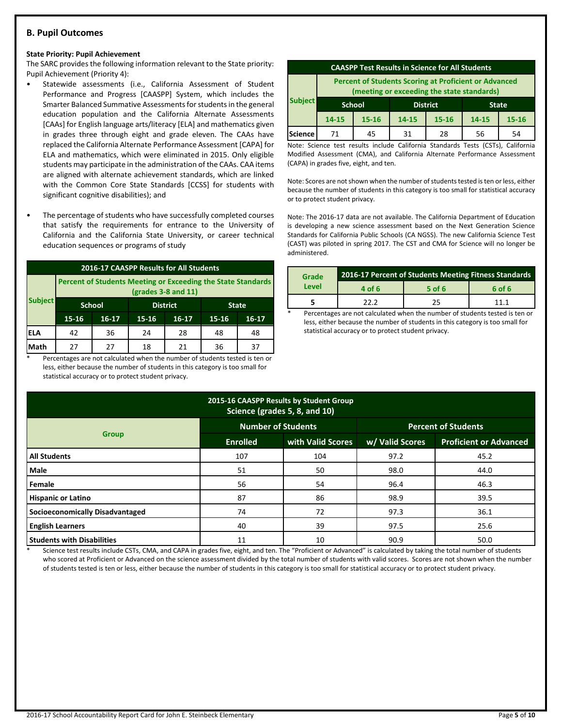## **B. Pupil Outcomes**

#### **State Priority: Pupil Achievement**

The SARC provides the following information relevant to the State priority: Pupil Achievement (Priority 4):

- Statewide assessments (i.e., California Assessment of Student Performance and Progress [CAASPP] System, which includes the Smarter Balanced Summative Assessments for students in the general education population and the California Alternate Assessments [CAAs] for English language arts/literacy [ELA] and mathematics given in grades three through eight and grade eleven. The CAAs have replaced the California Alternate Performance Assessment [CAPA] for ELA and mathematics, which were eliminated in 2015. Only eligible students may participate in the administration of the CAAs. CAA items are aligned with alternate achievement standards, which are linked with the Common Core State Standards [CCSS] for students with significant cognitive disabilities); and
- The percentage of students who have successfully completed courses that satisfy the requirements for entrance to the University of California and the California State University, or career technical education sequences or programs of study

|                | <b>2016-17 CAASPP Results for All Students</b>                                               |                                  |           |         |       |              |  |  |
|----------------|----------------------------------------------------------------------------------------------|----------------------------------|-----------|---------|-------|--------------|--|--|
|                | <b>Percent of Students Meeting or Exceeding the State Standards</b><br>$(grades 3-8 and 11)$ |                                  |           |         |       |              |  |  |
| <b>Subject</b> |                                                                                              | <b>School</b><br><b>District</b> |           |         |       | <b>State</b> |  |  |
|                | 15-16                                                                                        | $16-17$                          | $15 - 16$ | $16-17$ | 15-16 | $16 - 17$    |  |  |
| ELA            | 42                                                                                           | 36                               | 24        | 28      | 48    | 48           |  |  |
| Math           | 27                                                                                           | 27                               | 18        | 21      | 36    | 37           |  |  |

Percentages are not calculated when the number of students tested is ten or less, either because the number of students in this category is too small for statistical accuracy or to protect student privacy.

| <b>CAASPP Test Results in Science for All Students</b>                                                     |                                                  |           |       |           |       |           |  |
|------------------------------------------------------------------------------------------------------------|--------------------------------------------------|-----------|-------|-----------|-------|-----------|--|
| <b>Percent of Students Scoring at Proficient or Advanced</b><br>(meeting or exceeding the state standards) |                                                  |           |       |           |       |           |  |
| <b>Subject</b>                                                                                             | <b>District</b><br><b>School</b><br><b>State</b> |           |       |           |       |           |  |
|                                                                                                            | $14 - 15$                                        | $15 - 16$ | 14-15 | $15 - 16$ | 14-15 | $15 - 16$ |  |
| Science                                                                                                    | 71                                               | 45        | 31    | 28        | 56    | 54        |  |

Note: Science test results include California Standards Tests (CSTs), California Modified Assessment (CMA), and California Alternate Performance Assessment (CAPA) in grades five, eight, and ten.

Note: Scores are not shown when the number of students tested is ten or less, either because the number of students in this category is too small for statistical accuracy or to protect student privacy.

Note: The 2016-17 data are not available. The California Department of Education is developing a new science assessment based on the Next Generation Science Standards for California Public Schools (CA NGSS). The new California Science Test (CAST) was piloted in spring 2017. The CST and CMA for Science will no longer be administered.

| Grade | 2016-17 Percent of Students Meeting Fitness Standards |        |        |  |  |
|-------|-------------------------------------------------------|--------|--------|--|--|
| Level | 4 of 6                                                | 5 of 6 | 6 of 6 |  |  |
|       | 22 Z                                                  | 25     | 11 1   |  |  |
|       |                                                       |        |        |  |  |

Percentages are not calculated when the number of students tested is ten or less, either because the number of students in this category is too small for statistical accuracy or to protect student privacy.

| 2015-16 CAASPP Results by Student Group<br>Science (grades 5, 8, and 10) |                           |                   |                            |                               |  |  |  |
|--------------------------------------------------------------------------|---------------------------|-------------------|----------------------------|-------------------------------|--|--|--|
|                                                                          | <b>Number of Students</b> |                   | <b>Percent of Students</b> |                               |  |  |  |
| <b>Group</b>                                                             | <b>Enrolled</b>           | with Valid Scores | w/ Valid Scores            | <b>Proficient or Advanced</b> |  |  |  |
| <b>All Students</b>                                                      | 107                       | 104               | 97.2                       | 45.2                          |  |  |  |
| <b>Male</b>                                                              | 51                        | 50                | 98.0                       | 44.0                          |  |  |  |
| Female                                                                   | 56                        | 54                | 96.4                       | 46.3                          |  |  |  |
| <b>Hispanic or Latino</b>                                                | 87                        | 86                | 98.9                       | 39.5                          |  |  |  |
| Socioeconomically Disadvantaged                                          | 74                        | 72                | 97.3                       | 36.1                          |  |  |  |
| <b>English Learners</b>                                                  | 40                        | 39                | 97.5                       | 25.6                          |  |  |  |
| <b>Students with Disabilities</b>                                        | 11                        | 10                | 90.9                       | 50.0                          |  |  |  |

Science test results include CSTs, CMA, and CAPA in grades five, eight, and ten. The "Proficient or Advanced" is calculated by taking the total number of students who scored at Proficient or Advanced on the science assessment divided by the total number of students with valid scores. Scores are not shown when the number of students tested is ten or less, either because the number of students in this category is too small for statistical accuracy or to protect student privacy.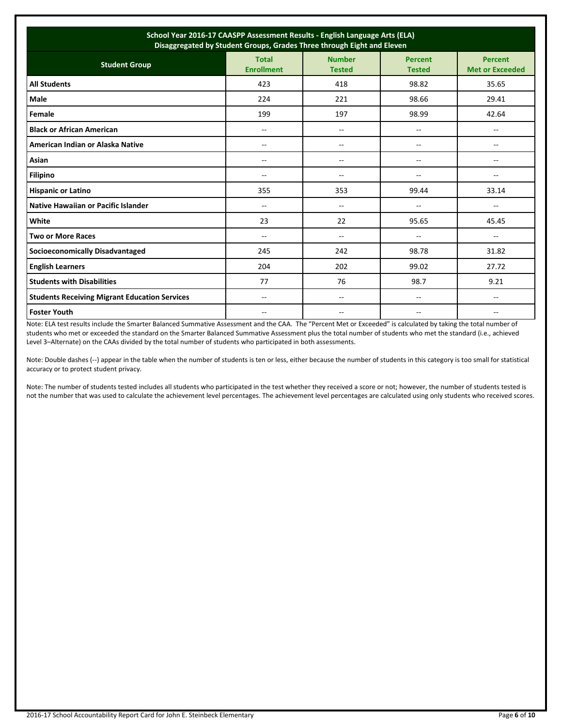| School Year 2016-17 CAASPP Assessment Results - English Language Arts (ELA)<br>Disaggregated by Student Groups, Grades Three through Eight and Eleven |                                   |                                |                                 |                                          |  |  |
|-------------------------------------------------------------------------------------------------------------------------------------------------------|-----------------------------------|--------------------------------|---------------------------------|------------------------------------------|--|--|
| <b>Student Group</b>                                                                                                                                  | <b>Total</b><br><b>Enrollment</b> | <b>Number</b><br><b>Tested</b> | <b>Percent</b><br><b>Tested</b> | <b>Percent</b><br><b>Met or Exceeded</b> |  |  |
| <b>All Students</b>                                                                                                                                   | 423                               | 418                            | 98.82                           | 35.65                                    |  |  |
| Male                                                                                                                                                  | 224                               | 221                            | 98.66                           | 29.41                                    |  |  |
| Female                                                                                                                                                | 199                               | 197                            | 98.99                           | 42.64                                    |  |  |
| <b>Black or African American</b>                                                                                                                      | --                                | --                             | --                              | --                                       |  |  |
| American Indian or Alaska Native                                                                                                                      | $-$                               | --                             | $-$                             | --                                       |  |  |
| Asian                                                                                                                                                 | --                                | --                             | --                              | $\overline{\phantom{a}}$                 |  |  |
| <b>Filipino</b>                                                                                                                                       | $-$                               | $- -$                          | --                              | $- -$                                    |  |  |
| <b>Hispanic or Latino</b>                                                                                                                             | 355                               | 353                            | 99.44                           | 33.14                                    |  |  |
| Native Hawaiian or Pacific Islander                                                                                                                   | $-$                               | $- -$                          | --                              | $- -$                                    |  |  |
| White                                                                                                                                                 | 23                                | 22                             | 95.65                           | 45.45                                    |  |  |
| <b>Two or More Races</b>                                                                                                                              | $-$                               | $\overline{\phantom{a}}$       | $\overline{\phantom{a}}$        | $\overline{\phantom{a}}$                 |  |  |
| <b>Socioeconomically Disadvantaged</b>                                                                                                                | 245                               | 242                            | 98.78                           | 31.82                                    |  |  |
| <b>English Learners</b>                                                                                                                               | 204                               | 202                            | 99.02                           | 27.72                                    |  |  |
| <b>Students with Disabilities</b>                                                                                                                     | 77                                | 76                             | 98.7                            | 9.21                                     |  |  |
| <b>Students Receiving Migrant Education Services</b>                                                                                                  | --                                | --                             | --                              | $\overline{\phantom{a}}$                 |  |  |
| <b>Foster Youth</b>                                                                                                                                   | --                                | --                             | --                              | --                                       |  |  |

Note: ELA test results include the Smarter Balanced Summative Assessment and the CAA. The "Percent Met or Exceeded" is calculated by taking the total number of students who met or exceeded the standard on the Smarter Balanced Summative Assessment plus the total number of students who met the standard (i.e., achieved Level 3–Alternate) on the CAAs divided by the total number of students who participated in both assessments.

Note: Double dashes (--) appear in the table when the number of students is ten or less, either because the number of students in this category is too small for statistical accuracy or to protect student privacy.

Note: The number of students tested includes all students who participated in the test whether they received a score or not; however, the number of students tested is not the number that was used to calculate the achievement level percentages. The achievement level percentages are calculated using only students who received scores.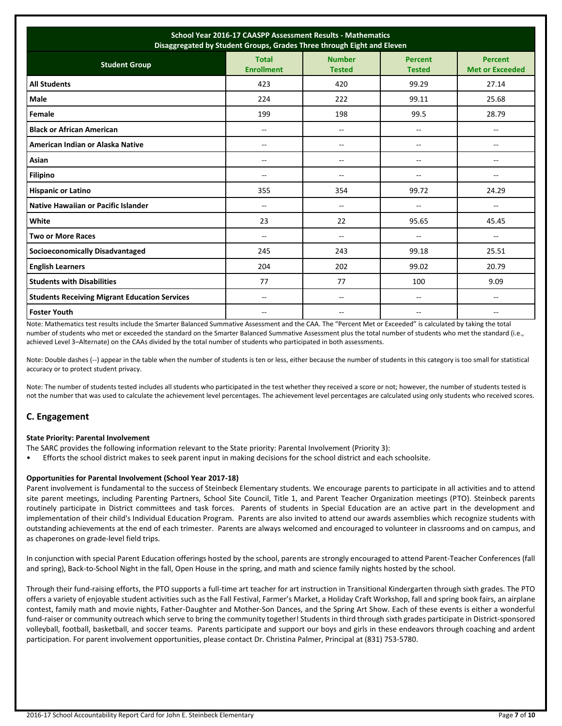| School Year 2016-17 CAASPP Assessment Results - Mathematics<br>Disaggregated by Student Groups, Grades Three through Eight and Eleven |                                   |                                |                                 |                                          |  |  |
|---------------------------------------------------------------------------------------------------------------------------------------|-----------------------------------|--------------------------------|---------------------------------|------------------------------------------|--|--|
| <b>Student Group</b>                                                                                                                  | <b>Total</b><br><b>Enrollment</b> | <b>Number</b><br><b>Tested</b> | <b>Percent</b><br><b>Tested</b> | <b>Percent</b><br><b>Met or Exceeded</b> |  |  |
| <b>All Students</b>                                                                                                                   | 423                               | 420                            | 99.29                           | 27.14                                    |  |  |
| <b>Male</b>                                                                                                                           | 224                               | 222                            | 99.11                           | 25.68                                    |  |  |
| Female                                                                                                                                | 199                               | 198                            | 99.5                            | 28.79                                    |  |  |
| <b>Black or African American</b>                                                                                                      | --                                | $-$                            | --                              | --                                       |  |  |
| American Indian or Alaska Native                                                                                                      | $\overline{a}$                    | $\overline{\phantom{a}}$       | $\overline{a}$                  | $\overline{a}$                           |  |  |
| Asian                                                                                                                                 | --                                | $\overline{\phantom{a}}$       | --                              | --                                       |  |  |
| <b>Filipino</b>                                                                                                                       | --                                | $\overline{\phantom{a}}$       | --                              | --                                       |  |  |
| <b>Hispanic or Latino</b>                                                                                                             | 355                               | 354                            | 99.72                           | 24.29                                    |  |  |
| Native Hawaiian or Pacific Islander                                                                                                   | --                                | $\overline{\phantom{a}}$       | --                              | --                                       |  |  |
| White                                                                                                                                 | 23                                | 22                             | 95.65                           | 45.45                                    |  |  |
| <b>Two or More Races</b>                                                                                                              | --                                | $\overline{\phantom{a}}$       | --                              | $\overline{\phantom{a}}$                 |  |  |
| <b>Socioeconomically Disadvantaged</b>                                                                                                | 245                               | 243                            | 99.18                           | 25.51                                    |  |  |
| <b>English Learners</b>                                                                                                               | 204                               | 202                            | 99.02                           | 20.79                                    |  |  |
| <b>Students with Disabilities</b>                                                                                                     | 77                                | 77                             | 100                             | 9.09                                     |  |  |
| <b>Students Receiving Migrant Education Services</b>                                                                                  | $-$                               | $\overline{\phantom{a}}$       | $\overline{a}$                  | $\overline{\phantom{a}}$                 |  |  |
| <b>Foster Youth</b>                                                                                                                   | $- -$                             | --                             | --                              | --                                       |  |  |

Note: Mathematics test results include the Smarter Balanced Summative Assessment and the CAA. The "Percent Met or Exceeded" is calculated by taking the total number of students who met or exceeded the standard on the Smarter Balanced Summative Assessment plus the total number of students who met the standard (i.e., achieved Level 3–Alternate) on the CAAs divided by the total number of students who participated in both assessments.

Note: Double dashes (--) appear in the table when the number of students is ten or less, either because the number of students in this category is too small for statistical accuracy or to protect student privacy.

Note: The number of students tested includes all students who participated in the test whether they received a score or not; however, the number of students tested is not the number that was used to calculate the achievement level percentages. The achievement level percentages are calculated using only students who received scores.

## **C. Engagement**

## **State Priority: Parental Involvement**

- The SARC provides the following information relevant to the State priority: Parental Involvement (Priority 3):
- Efforts the school district makes to seek parent input in making decisions for the school district and each schoolsite.

## **Opportunities for Parental Involvement (School Year 2017-18)**

Parent involvement is fundamental to the success of Steinbeck Elementary students. We encourage parents to participate in all activities and to attend site parent meetings, including Parenting Partners, School Site Council, Title 1, and Parent Teacher Organization meetings (PTO). Steinbeck parents routinely participate in District committees and task forces. Parents of students in Special Education are an active part in the development and implementation of their child's Individual Education Program. Parents are also invited to attend our awards assemblies which recognize students with outstanding achievements at the end of each trimester. Parents are always welcomed and encouraged to volunteer in classrooms and on campus, and as chaperones on grade-level field trips.

In conjunction with special Parent Education offerings hosted by the school, parents are strongly encouraged to attend Parent-Teacher Conferences (fall and spring), Back-to-School Night in the fall, Open House in the spring, and math and science family nights hosted by the school.

Through their fund-raising efforts, the PTO supports a full-time art teacher for art instruction in Transitional Kindergarten through sixth grades. The PTO offers a variety of enjoyable student activities such as the Fall Festival, Farmer's Market, a Holiday Craft Workshop, fall and spring book fairs, an airplane contest, family math and movie nights, Father-Daughter and Mother-Son Dances, and the Spring Art Show. Each of these events is either a wonderful fund-raiser or community outreach which serve to bring the community together! Students in third through sixth grades participate in District-sponsored volleyball, football, basketball, and soccer teams. Parents participate and support our boys and girls in these endeavors through coaching and ardent participation. For parent involvement opportunities, please contact Dr. Christina Palmer, Principal at (831) 753-5780.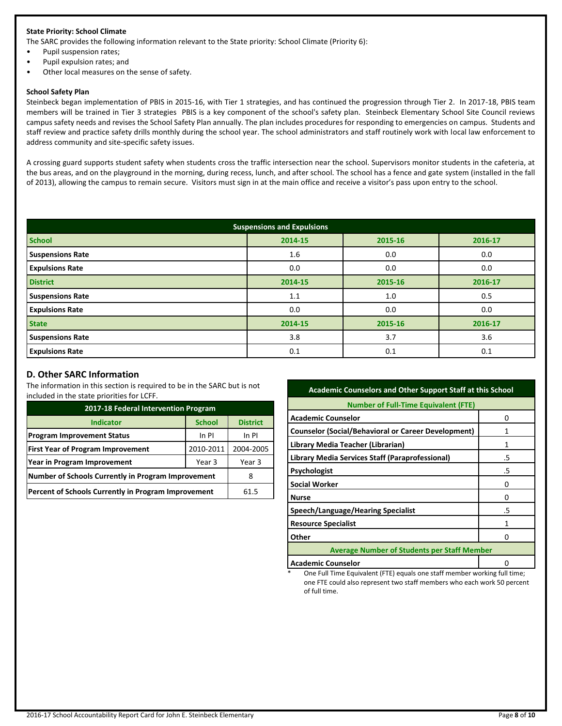## **State Priority: School Climate**

The SARC provides the following information relevant to the State priority: School Climate (Priority 6):

- Pupil suspension rates;
- Pupil expulsion rates; and
- Other local measures on the sense of safety.

#### **School Safety Plan**

Steinbeck began implementation of PBIS in 2015-16, with Tier 1 strategies, and has continued the progression through Tier 2. In 2017-18, PBIS team members will be trained in Tier 3 strategies PBIS is a key component of the school's safety plan. Steinbeck Elementary School Site Council reviews campus safety needs and revises the School Safety Plan annually. The plan includes procedures for responding to emergencies on campus. Students and staff review and practice safety drills monthly during the school year. The school administrators and staff routinely work with local law enforcement to address community and site-specific safety issues.

A crossing guard supports student safety when students cross the traffic intersection near the school. Supervisors monitor students in the cafeteria, at the bus areas, and on the playground in the morning, during recess, lunch, and after school. The school has a fence and gate system (installed in the fall of 2013), allowing the campus to remain secure. Visitors must sign in at the main office and receive a visitor's pass upon entry to the school.

| <b>Suspensions and Expulsions</b> |         |         |         |  |  |  |
|-----------------------------------|---------|---------|---------|--|--|--|
| <b>School</b>                     | 2014-15 | 2015-16 | 2016-17 |  |  |  |
| <b>Suspensions Rate</b>           | 1.6     | 0.0     | 0.0     |  |  |  |
| <b>Expulsions Rate</b>            | 0.0     | 0.0     | 0.0     |  |  |  |
| <b>District</b>                   | 2014-15 | 2015-16 | 2016-17 |  |  |  |
| <b>Suspensions Rate</b>           | 1.1     | 1.0     | 0.5     |  |  |  |
| <b>Expulsions Rate</b>            | 0.0     | 0.0     | 0.0     |  |  |  |
| <b>State</b>                      | 2014-15 | 2015-16 | 2016-17 |  |  |  |
| <b>Suspensions Rate</b>           | 3.8     | 3.7     | 3.6     |  |  |  |
| <b>Expulsions Rate</b>            | 0.1     | 0.1     | 0.1     |  |  |  |

## **D. Other SARC Information**

The information in this section is required to be in the SARC but is not included in the state priorities for LCFF.

| 2017-18 Federal Intervention Program                |               |                 |  |  |  |
|-----------------------------------------------------|---------------|-----------------|--|--|--|
| <b>Indicator</b>                                    | <b>School</b> | <b>District</b> |  |  |  |
| <b>Program Improvement Status</b>                   | In PI         |                 |  |  |  |
| <b>First Year of Program Improvement</b>            | 2004-2005     |                 |  |  |  |
| Year in Program Improvement                         | Year 3        |                 |  |  |  |
| Number of Schools Currently in Program Improvement  |               |                 |  |  |  |
| Percent of Schools Currently in Program Improvement | 61.5          |                 |  |  |  |

| <b>Academic Counselors and Other Support Staff at this School</b> |    |  |  |  |
|-------------------------------------------------------------------|----|--|--|--|
| <b>Number of Full-Time Equivalent (FTE)</b>                       |    |  |  |  |
| <b>Academic Counselor</b>                                         | Ω  |  |  |  |
| <b>Counselor (Social/Behavioral or Career Development)</b>        |    |  |  |  |
| Library Media Teacher (Librarian)                                 | 1  |  |  |  |
| Library Media Services Staff (Paraprofessional)                   | .5 |  |  |  |
| <b>Psychologist</b>                                               | .5 |  |  |  |
| <b>Social Worker</b>                                              | n  |  |  |  |
| <b>Nurse</b>                                                      | O  |  |  |  |
| Speech/Language/Hearing Specialist                                | .5 |  |  |  |
| <b>Resource Specialist</b>                                        | 1  |  |  |  |
| Other                                                             | O  |  |  |  |
| <b>Average Number of Students per Staff Member</b>                |    |  |  |  |
| <b>Academic Counselor</b>                                         |    |  |  |  |

One Full Time Equivalent (FTE) equals one staff member working full time; one FTE could also represent two staff members who each work 50 percent of full time.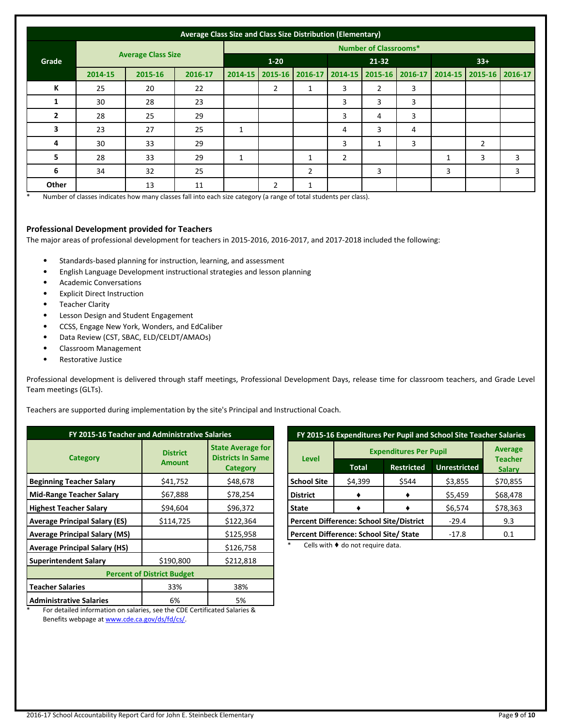| Average Class Size and Class Size Distribution (Elementary) |                           |         |          |         |                              |                 |                |                |   |   |                                                 |   |
|-------------------------------------------------------------|---------------------------|---------|----------|---------|------------------------------|-----------------|----------------|----------------|---|---|-------------------------------------------------|---|
|                                                             |                           |         |          |         | <b>Number of Classrooms*</b> |                 |                |                |   |   |                                                 |   |
| Grade                                                       | <b>Average Class Size</b> |         | $1 - 20$ |         | 21-32                        |                 |                | $33+$          |   |   |                                                 |   |
|                                                             | 2014-15                   | 2015-16 | 2016-17  | 2014-15 |                              | 2015-16 2016-17 | 2014-15        |                |   |   | 2015-16   2016-17   2014-15   2015-16   2016-17 |   |
| К                                                           | 25                        | 20      | 22       |         | 2                            |                 | 3              | $\overline{2}$ | 3 |   |                                                 |   |
| 1                                                           | 30                        | 28      | 23       |         |                              |                 | 3              | 3              | 3 |   |                                                 |   |
| $\overline{2}$                                              | 28                        | 25      | 29       |         |                              |                 | 3              | 4              | 3 |   |                                                 |   |
| 3                                                           | 23                        | 27      | 25       | 1       |                              |                 | 4              | 3              | 4 |   |                                                 |   |
| 4                                                           | 30                        | 33      | 29       |         |                              |                 | 3              | 1              | 3 |   | 2                                               |   |
| 5                                                           | 28                        | 33      | 29       | 1       |                              |                 | $\overline{2}$ |                |   | 1 | 3                                               | 3 |
| 6                                                           | 34                        | 32      | 25       |         |                              | $\overline{2}$  |                | 3              |   | 3 |                                                 | 3 |
| Other                                                       |                           | 13      | 11       |         | $\overline{2}$               | 1               |                |                |   |   |                                                 |   |

\* Number of classes indicates how many classes fall into each size category (a range of total students per class).

#### **Professional Development provided for Teachers**

The major areas of professional development for teachers in 2015-2016, 2016-2017, and 2017-2018 included the following:

- Standards-based planning for instruction, learning, and assessment
- English Language Development instructional strategies and lesson planning
- Academic Conversations
- Explicit Direct Instruction
- Teacher Clarity
- Lesson Design and Student Engagement
- CCSS, Engage New York, Wonders, and EdCaliber
- Data Review (CST, SBAC, ELD/CELDT/AMAOs)
- Classroom Management
- Restorative Justice

Professional development is delivered through staff meetings, Professional Development Days, release time for classroom teachers, and Grade Level Team meetings (GLTs).

Teachers are supported during implementation by the site's Principal and Instructional Coach.

| FY 2015-16 Teacher and Administrative Salaries                                                                    |                                  |                                                                  |  |  |  |  |
|-------------------------------------------------------------------------------------------------------------------|----------------------------------|------------------------------------------------------------------|--|--|--|--|
| <b>Category</b>                                                                                                   | <b>District</b><br><b>Amount</b> | <b>State Average for</b><br><b>Districts In Same</b><br>Category |  |  |  |  |
| <b>Beginning Teacher Salary</b>                                                                                   | \$41,752                         | \$48,678                                                         |  |  |  |  |
| <b>Mid-Range Teacher Salary</b>                                                                                   | \$67,888                         | \$78,254                                                         |  |  |  |  |
| <b>Highest Teacher Salary</b>                                                                                     | \$94,604                         | \$96,372                                                         |  |  |  |  |
| <b>Average Principal Salary (ES)</b>                                                                              | \$114,725                        | \$122,364                                                        |  |  |  |  |
| <b>Average Principal Salary (MS)</b>                                                                              |                                  | \$125,958                                                        |  |  |  |  |
| <b>Average Principal Salary (HS)</b>                                                                              |                                  | \$126,758                                                        |  |  |  |  |
| <b>Superintendent Salary</b>                                                                                      | \$190,800                        | \$212,818                                                        |  |  |  |  |
| <b>Percent of District Budget</b>                                                                                 |                                  |                                                                  |  |  |  |  |
| <b>Teacher Salaries</b>                                                                                           | 33%                              | 38%                                                              |  |  |  |  |
| <b>Administrative Salaries</b><br>Feathers that the conception are polarized and the CDF Contificated Calculus 0. | 6%                               | 5%                                                               |  |  |  |  |

| FY 2015-16 Expenditures Per Pupil and School Site Teacher Salaries |                                                 |                   |                     |                                 |  |  |
|--------------------------------------------------------------------|-------------------------------------------------|-------------------|---------------------|---------------------------------|--|--|
|                                                                    | <b>Expenditures Per Pupil</b>                   | <b>Average</b>    |                     |                                 |  |  |
| Level                                                              | <b>Total</b>                                    | <b>Restricted</b> | <b>Unrestricted</b> | <b>Teacher</b><br><b>Salary</b> |  |  |
| <b>School Site</b>                                                 | \$4,399                                         | \$544             | \$3,855             | \$70,855                        |  |  |
| <b>District</b>                                                    |                                                 |                   | \$5,459             | \$68,478                        |  |  |
| <b>State</b>                                                       |                                                 |                   | \$6,574             | \$78,363                        |  |  |
|                                                                    | <b>Percent Difference: School Site/District</b> | $-29.4$           | 9.3                 |                                 |  |  |
|                                                                    | Percent Difference: School Site/ State          | $-17.8$           | 0.1                 |                                 |  |  |
| Colle with A do not roquiro data                                   |                                                 |                   |                     |                                 |  |  |

Cells with  $\blacklozenge$  do not require data.

For detailed information on salaries, see the CDE Certificated Salaries & Benefits webpage a[t www.cde.ca.gov/ds/fd/cs/.](http://www.cde.ca.gov/ds/fd/cs/)